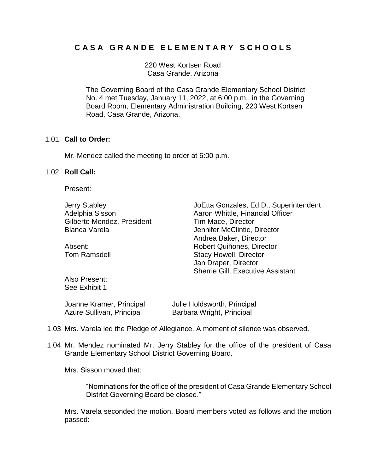# **C A S A G R A N D E E L E M E N T A R Y S C H O O L S**

220 West Kortsen Road Casa Grande, Arizona

The Governing Board of the Casa Grande Elementary School District No. 4 met Tuesday, January 11, 2022, at 6:00 p.m., in the Governing Board Room, Elementary Administration Building, 220 West Kortsen Road, Casa Grande, Arizona.

# 1.01 **Call to Order:**

Mr. Mendez called the meeting to order at 6:00 p.m.

# 1.02 **Roll Call:**

Present:

Gilberto Mendez, President Tim Mace, Director Blanca Varela **Jennifer McClintic, Director** 

Jerry Stabley JoEtta Gonzales, Ed.D., Superintendent Adelphia Sisson **Aaron Whittle, Financial Officer** Adelphia Sisson Andrea Baker, Director Absent: Robert Quiñones, Director Tom Ramsdell **Stacy Howell**, Director Jan Draper, Director Sherrie Gill, Executive Assistant

Also Present: See Exhibit 1

| Joanne Kramer, Principal  | Julie Holdsworth, Principal |
|---------------------------|-----------------------------|
| Azure Sullivan, Principal | Barbara Wright, Principal   |

- 1.03 Mrs. Varela led the Pledge of Allegiance. A moment of silence was observed.
- 1.04 Mr. Mendez nominated Mr. Jerry Stabley for the office of the president of Casa Grande Elementary School District Governing Board.

Mrs. Sisson moved that:

"Nominations for the office of the president of Casa Grande Elementary School District Governing Board be closed."

Mrs. Varela seconded the motion. Board members voted as follows and the motion passed: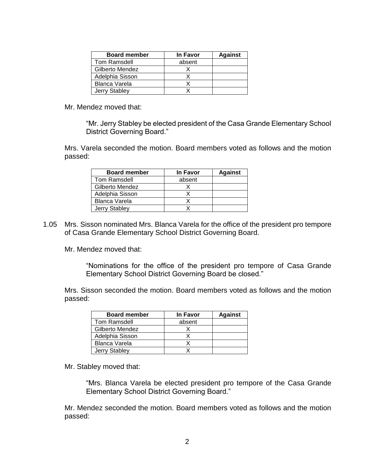| <b>Board member</b>  | <b>In Favor</b> | <b>Against</b> |
|----------------------|-----------------|----------------|
| Tom Ramsdell         | absent          |                |
| Gilberto Mendez      |                 |                |
| Adelphia Sisson      |                 |                |
| <b>Blanca Varela</b> |                 |                |
| Jerry Stabley        |                 |                |

Mr. Mendez moved that:

"Mr. Jerry Stabley be elected president of the Casa Grande Elementary School District Governing Board."

Mrs. Varela seconded the motion. Board members voted as follows and the motion passed:

| <b>Board member</b> | In Favor | <b>Against</b> |
|---------------------|----------|----------------|
| Tom Ramsdell        | absent   |                |
| Gilberto Mendez     |          |                |
| Adelphia Sisson     |          |                |
| Blanca Varela       |          |                |
| Jerry Stabley       |          |                |

1.05 Mrs. Sisson nominated Mrs. Blanca Varela for the office of the president pro tempore of Casa Grande Elementary School District Governing Board.

Mr. Mendez moved that:

"Nominations for the office of the president pro tempore of Casa Grande Elementary School District Governing Board be closed."

Mrs. Sisson seconded the motion. Board members voted as follows and the motion passed:

| <b>Board member</b>  | In Favor | <b>Against</b> |
|----------------------|----------|----------------|
| Tom Ramsdell         | absent   |                |
| Gilberto Mendez      |          |                |
| Adelphia Sisson      |          |                |
| <b>Blanca Varela</b> |          |                |
| Jerry Stabley        |          |                |

Mr. Stabley moved that:

"Mrs. Blanca Varela be elected president pro tempore of the Casa Grande Elementary School District Governing Board."

Mr. Mendez seconded the motion. Board members voted as follows and the motion passed: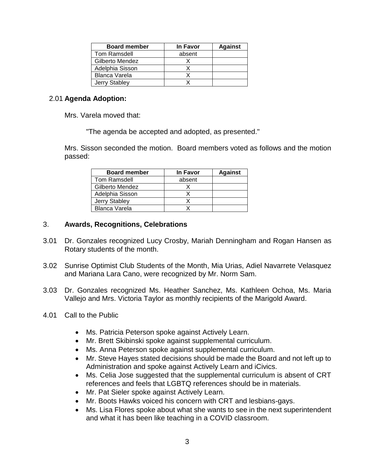| <b>Board member</b>  | In Favor | <b>Against</b> |
|----------------------|----------|----------------|
| Tom Ramsdell         | absent   |                |
| Gilberto Mendez      |          |                |
| Adelphia Sisson      |          |                |
| Blanca Varela        |          |                |
| <b>Jerry Stabley</b> |          |                |

# 2.01 **Agenda Adoption:**

Mrs. Varela moved that:

"The agenda be accepted and adopted, as presented."

Mrs. Sisson seconded the motion. Board members voted as follows and the motion passed:

| <b>Board member</b> | <b>In Favor</b> | <b>Against</b> |
|---------------------|-----------------|----------------|
| Tom Ramsdell        | absent          |                |
| Gilberto Mendez     |                 |                |
| Adelphia Sisson     |                 |                |
| Jerry Stabley       |                 |                |
| Blanca Varela       |                 |                |

# 3. **Awards, Recognitions, Celebrations**

- 3.01 Dr. Gonzales recognized Lucy Crosby, Mariah Denningham and Rogan Hansen as Rotary students of the month.
- 3.02 Sunrise Optimist Club Students of the Month, Mia Urias, Adiel Navarrete Velasquez and Mariana Lara Cano, were recognized by Mr. Norm Sam.
- 3.03 Dr. Gonzales recognized Ms. Heather Sanchez, Ms. Kathleen Ochoa, Ms. Maria Vallejo and Mrs. Victoria Taylor as monthly recipients of the Marigold Award.
- 4.01 Call to the Public
	- Ms. Patricia Peterson spoke against Actively Learn.
	- Mr. Brett Skibinski spoke against supplemental curriculum.
	- Ms. Anna Peterson spoke against supplemental curriculum.
	- Mr. Steve Hayes stated decisions should be made the Board and not left up to Administration and spoke against Actively Learn and iCivics.
	- Ms. Celia Jose suggested that the supplemental curriculum is absent of CRT references and feels that LGBTQ references should be in materials.
	- Mr. Pat Sieler spoke against Actively Learn.
	- Mr. Boots Hawks voiced his concern with CRT and lesbians-gays.
	- Ms. Lisa Flores spoke about what she wants to see in the next superintendent and what it has been like teaching in a COVID classroom.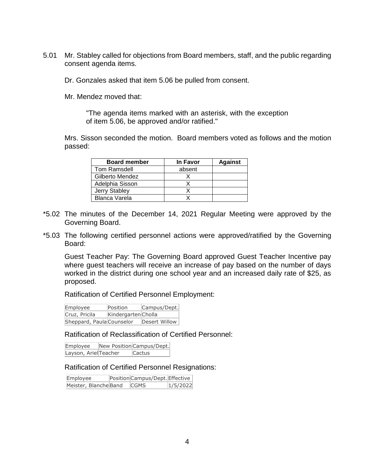5.01 Mr. Stabley called for objections from Board members, staff, and the public regarding consent agenda items.

Dr. Gonzales asked that item 5.06 be pulled from consent.

Mr. Mendez moved that:

"The agenda items marked with an asterisk, with the exception of item 5.06, be approved and/or ratified."

Mrs. Sisson seconded the motion. Board members voted as follows and the motion passed:

| <b>Board member</b>  | <b>In Favor</b> | <b>Against</b> |
|----------------------|-----------------|----------------|
| Tom Ramsdell         | absent          |                |
| Gilberto Mendez      |                 |                |
| Adelphia Sisson      |                 |                |
| Jerry Stabley        |                 |                |
| <b>Blanca Varela</b> |                 |                |

- \*5.02 The minutes of the December 14, 2021 Regular Meeting were approved by the Governing Board.
- \*5.03 The following certified personnel actions were approved/ratified by the Governing Board:

Guest Teacher Pay: The Governing Board approved Guest Teacher Incentive pay where guest teachers will receive an increase of pay based on the number of days worked in the district during one school year and an increased daily rate of \$25, as proposed.

Ratification of Certified Personnel Employment:

| Employee      | Position                  | Campus/Dept.  |
|---------------|---------------------------|---------------|
| Cruz, Pricila | Kindergarten Cholla       |               |
|               | Sheppard, Paula Counselor | Desert Willow |

Ratification of Reclassification of Certified Personnel:

Employee New Position Campus/Dept. Layson, Ariel Teacher Cactus

#### Ratification of Certified Personnel Resignations:

Employee Position Campus/Dept. Effective Meister, Blanche Band CGMS 1/5/2022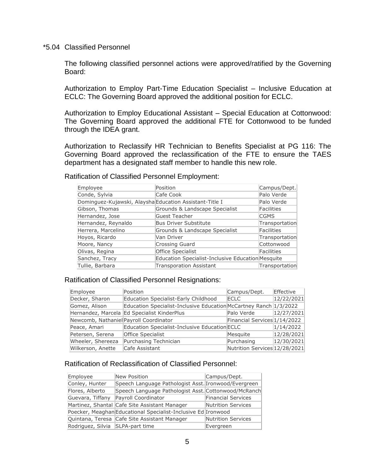#### \*5.04 Classified Personnel

The following classified personnel actions were approved/ratified by the Governing Board:

Authorization to Employ Part-Time Education Specialist – Inclusive Education at ECLC: The Governing Board approved the additional position for ECLC.

Authorization to Employ Educational Assistant – Special Education at Cottonwood: The Governing Board approved the additional FTE for Cottonwood to be funded through the IDEA grant.

Authorization to Reclassify HR Technician to Benefits Specialist at PG 116: The Governing Board approved the reclassification of the FTE to ensure the TAES department has a designated staff member to handle this new role.

| Employee                                                | Position                                          | Campus/Dept.      |
|---------------------------------------------------------|---------------------------------------------------|-------------------|
| Conde, Sylvia                                           | Cafe Cook                                         | Palo Verde        |
| Dominguez-Kujawski, Alaysha Education Assistant-Title I |                                                   | Palo Verde        |
| Gibson, Thomas                                          | Grounds & Landscape Specialist                    | <b>Facilities</b> |
| Hernandez, Jose                                         | Guest Teacher                                     | <b>CGMS</b>       |
| Hernandez, Reynaldo                                     | <b>Bus Driver Substitute</b>                      | Transportation    |
| Herrera, Marcelino                                      | Grounds & Landscape Specialist                    | <b>Facilities</b> |
| Hoyos, Ricardo                                          | Van Driver                                        | Transportation    |
| Moore, Nancy                                            | Crossing Guard                                    | Cottonwood        |
| Olivas, Regina                                          | Office Specialist                                 | <b>Facilities</b> |
| Sanchez, Tracy                                          | Education Specialist-Inclusive Education Mesquite |                   |
| Tullie, Barbara                                         | <b>Transporation Assistant</b>                    | Transportation    |

Ratification of Classified Personnel Employment:

#### Ratification of Classified Personnel Resignations:

| Employee                               | Position                                                          | Campus/Dept.                  | Effective  |
|----------------------------------------|-------------------------------------------------------------------|-------------------------------|------------|
| Decker, Sharon                         | Education Specialist-Early Childhood                              | <b>ECLC</b>                   | 12/22/2021 |
| Gomez, Alison                          | Education Specialist-Inclusive Education McCartney Ranch 1/3/2022 |                               |            |
|                                        | Hernandez, Marcela Ed Specialist KinderPlus                       | Palo Verde                    | 12/27/2021 |
| Newcomb, Nathaniel Payroll Coordinator |                                                                   | Financial Services 1/14/2022  |            |
| Peace, Amari                           | Education Specialist-Inclusive Education ECLC                     |                               | 1/14/2022  |
| Petersen, Serena                       | <b>Office Specialist</b>                                          | Mesquite                      | 12/28/2021 |
| Wheeler, Shereeza                      | Purchasing Technician                                             | Purchasing                    | 12/30/2021 |
| Wilkerson, Anette                      | Cafe Assistant                                                    | Nutrition Services 12/28/2021 |            |

# Ratification of Reclassification of Classified Personnel:

| Employee                         | New Position                                                  | Campus/Dept.              |
|----------------------------------|---------------------------------------------------------------|---------------------------|
| Conley, Hunter                   | Speech Language Pathologist Asst. Ironwood/Evergreen          |                           |
| Flores, Alberto                  | Speech Language Pathologist Asst. Cottonwood/McRanch          |                           |
| Guevara, Tiffany                 | Payroll Coordinator                                           | <b>Financial Services</b> |
|                                  | Martinez, Shantal Cafe Site Assistant Manager                 | <b>Nutrition Services</b> |
|                                  | Poecker, Meaghan Educational Specialist-Inclusive Ed Ironwood |                           |
|                                  | Quintana, Teresa Cafe Site Assistant Manager                  | <b>Nutrition Services</b> |
| Rodriguez, Silvia SLPA-part time |                                                               | Evergreen                 |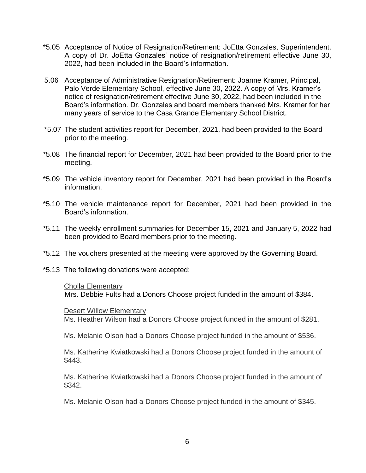- \*5.05 Acceptance of Notice of Resignation/Retirement: JoEtta Gonzales, Superintendent. A copy of Dr. JoEtta Gonzales' notice of resignation/retirement effective June 30, 2022, had been included in the Board's information.
- 5.06 Acceptance of Administrative Resignation/Retirement: Joanne Kramer, Principal, Palo Verde Elementary School, effective June 30, 2022. A copy of Mrs. Kramer's notice of resignation/retirement effective June 30, 2022, had been included in the Board's information. Dr. Gonzales and board members thanked Mrs. Kramer for her many years of service to the Casa Grande Elementary School District.
- \*5.07 The student activities report for December, 2021, had been provided to the Board prior to the meeting.
- \*5.08 The financial report for December, 2021 had been provided to the Board prior to the meeting.
- \*5.09 The vehicle inventory report for December, 2021 had been provided in the Board's information.
- \*5.10 The vehicle maintenance report for December, 2021 had been provided in the Board's information.
- \*5.11 The weekly enrollment summaries for December 15, 2021 and January 5, 2022 had been provided to Board members prior to the meeting.
- \*5.12 The vouchers presented at the meeting were approved by the Governing Board.
- \*5.13 The following donations were accepted:

#### Cholla Elementary

Mrs. Debbie Fults had a Donors Choose project funded in the amount of \$384.

#### Desert Willow Elementary

Ms. Heather Wilson had a Donors Choose project funded in the amount of \$281.

Ms. Melanie Olson had a Donors Choose project funded in the amount of \$536.

Ms. Katherine Kwiatkowski had a Donors Choose project funded in the amount of \$443.

Ms. Katherine Kwiatkowski had a Donors Choose project funded in the amount of \$342.

Ms. Melanie Olson had a Donors Choose project funded in the amount of \$345.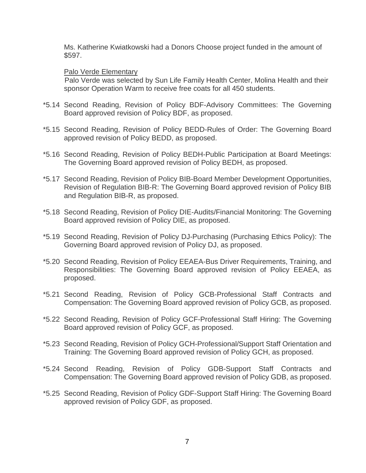Ms. Katherine Kwiatkowski had a Donors Choose project funded in the amount of \$597.

### Palo Verde Elementary

Palo Verde was selected by Sun Life Family Health Center, Molina Health and their sponsor Operation Warm to receive free coats for all 450 students.

- \*5.14 Second Reading, Revision of Policy BDF-Advisory Committees: The Governing Board approved revision of Policy BDF, as proposed.
- \*5.15 Second Reading, Revision of Policy BEDD-Rules of Order: The Governing Board approved revision of Policy BEDD, as proposed.
- \*5.16 Second Reading, Revision of Policy BEDH-Public Participation at Board Meetings: The Governing Board approved revision of Policy BEDH, as proposed.
- \*5.17 Second Reading, Revision of Policy BIB-Board Member Development Opportunities, Revision of Regulation BIB-R: The Governing Board approved revision of Policy BIB and Regulation BIB-R, as proposed.
- \*5.18 Second Reading, Revision of Policy DIE-Audits/Financial Monitoring: The Governing Board approved revision of Policy DIE, as proposed.
- \*5.19 Second Reading, Revision of Policy DJ-Purchasing (Purchasing Ethics Policy): The Governing Board approved revision of Policy DJ, as proposed.
- \*5.20 Second Reading, Revision of Policy EEAEA-Bus Driver Requirements, Training, and Responsibilities: The Governing Board approved revision of Policy EEAEA, as proposed.
- \*5.21 Second Reading, Revision of Policy GCB-Professional Staff Contracts and Compensation: The Governing Board approved revision of Policy GCB, as proposed.
- \*5.22 Second Reading, Revision of Policy GCF-Professional Staff Hiring: The Governing Board approved revision of Policy GCF, as proposed.
- \*5.23 Second Reading, Revision of Policy GCH-Professional/Support Staff Orientation and Training: The Governing Board approved revision of Policy GCH, as proposed.
- \*5.24 Second Reading, Revision of Policy GDB-Support Staff Contracts and Compensation: The Governing Board approved revision of Policy GDB, as proposed.
- \*5.25 Second Reading, Revision of Policy GDF-Support Staff Hiring: The Governing Board approved revision of Policy GDF, as proposed.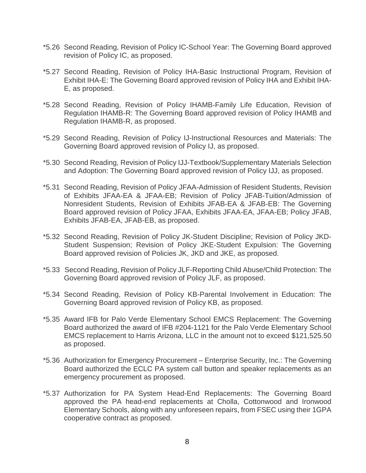- \*5.26 Second Reading, Revision of Policy IC-School Year: The Governing Board approved revision of Policy IC, as proposed.
- \*5.27 Second Reading, Revision of Policy IHA-Basic Instructional Program, Revision of Exhibit IHA-E: The Governing Board approved revision of Policy IHA and Exhibit IHA-E, as proposed.
- \*5.28 Second Reading, Revision of Policy IHAMB-Family Life Education, Revision of Regulation IHAMB-R: The Governing Board approved revision of Policy IHAMB and Regulation IHAMB-R, as proposed.
- \*5.29 Second Reading, Revision of Policy IJ-Instructional Resources and Materials: The Governing Board approved revision of Policy IJ, as proposed.
- \*5.30 Second Reading, Revision of Policy IJJ-Textbook/Supplementary Materials Selection and Adoption: The Governing Board approved revision of Policy IJJ, as proposed.
- \*5.31 Second Reading, Revision of Policy JFAA-Admission of Resident Students, Revision of Exhibits JFAA-EA & JFAA-EB; Revision of Policy JFAB-Tuition/Admission of Nonresident Students, Revision of Exhibits JFAB-EA & JFAB-EB: The Governing Board approved revision of Policy JFAA, Exhibits JFAA-EA, JFAA-EB; Policy JFAB, Exhibits JFAB-EA, JFAB-EB, as proposed.
- \*5.32 Second Reading, Revision of Policy JK-Student Discipline; Revision of Policy JKD-Student Suspension; Revision of Policy JKE-Student Expulsion: The Governing Board approved revision of Policies JK, JKD and JKE, as proposed.
- \*5.33 Second Reading, Revision of Policy JLF-Reporting Child Abuse/Child Protection: The Governing Board approved revision of Policy JLF, as proposed.
- \*5.34 Second Reading, Revision of Policy KB-Parental Involvement in Education: The Governing Board approved revision of Policy KB, as proposed.
- \*5.35 Award IFB for Palo Verde Elementary School EMCS Replacement: The Governing Board authorized the award of IFB #204-1121 for the Palo Verde Elementary School EMCS replacement to Harris Arizona, LLC in the amount not to exceed \$121,525.50 as proposed.
- \*5.36 Authorization for Emergency Procurement Enterprise Security, Inc.: The Governing Board authorized the ECLC PA system call button and speaker replacements as an emergency procurement as proposed.
- \*5.37 Authorization for PA System Head-End Replacements: The Governing Board approved the PA head-end replacements at Cholla, Cottonwood and Ironwood Elementary Schools, along with any unforeseen repairs, from FSEC using their 1GPA cooperative contract as proposed.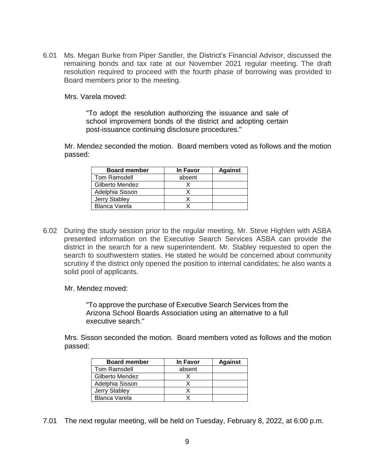6.01 Ms. Megan Burke from Piper Sandler, the District's Financial Advisor, discussed the remaining bonds and tax rate at our November 2021 regular meeting. The draft resolution required to proceed with the fourth phase of borrowing was provided to Board members prior to the meeting.

Mrs. Varela moved:

"To adopt the resolution authorizing the issuance and sale of school improvement bonds of the district and adopting certain post-issuance continuing disclosure procedures."

Mr. Mendez seconded the motion. Board members voted as follows and the motion passed:

| <b>Board member</b> | <b>In Favor</b> | <b>Against</b> |
|---------------------|-----------------|----------------|
| Tom Ramsdell        | absent          |                |
| Gilberto Mendez     |                 |                |
| Adelphia Sisson     |                 |                |
| Jerry Stabley       |                 |                |
| Blanca Varela       |                 |                |

- 6.02 During the study session prior to the regular meeting, Mr. Steve Highlen with ASBA presented information on the Executive Search Services ASBA can provide the district in the search for a new superintendent. Mr. Stabley requested to open the search to southwestern states. He stated he would be concerned about community scrutiny if the district only opened the position to internal candidates; he also wants a solid pool of applicants.
	- Mr. Mendez moved:

"To approve the purchase of Executive Search Services from the Arizona School Boards Association using an alternative to a full executive search."

Mrs. Sisson seconded the motion. Board members voted as follows and the motion passed:

| <b>Board member</b>  | <b>In Favor</b> | <b>Against</b> |
|----------------------|-----------------|----------------|
| Tom Ramsdell         | absent          |                |
| Gilberto Mendez      |                 |                |
| Adelphia Sisson      |                 |                |
| <b>Jerry Stabley</b> |                 |                |
| <b>Blanca Varela</b> |                 |                |

7.01 The next regular meeting, will be held on Tuesday, February 8, 2022, at 6:00 p.m.